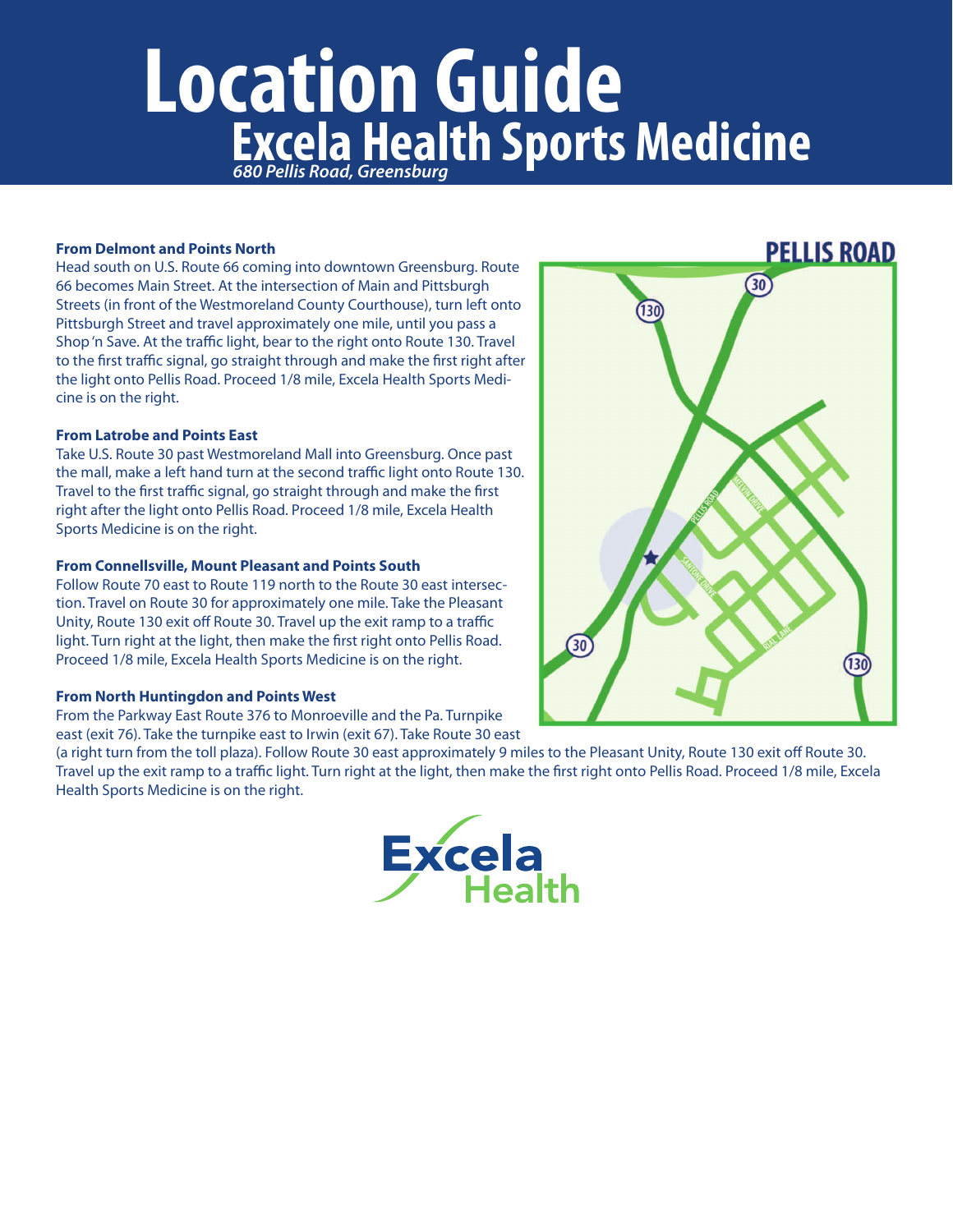# **Location Guide Excela Health Sports Medicine**

## **From Delmont and Points North**

Head south on U.S. Route 66 coming into downtown Greensburg. Route 66 becomes Main Street. At the intersection of Main and Pittsburgh Streets (in front of the Westmoreland County Courthouse), turn left onto Pittsburgh Street and travel approximately one mile, until you pass a Shop'n Save. At the traffic light, bear to the right onto Route 130. Travel to the first traffic signal, go straight through and make the first right after the light onto Pellis Road. Proceed 1/8 mile, Excela Health Sports Medicine is on the right.

## **From Latrobe and Points East**

Take U.S. Route 30 past Westmoreland Mall into Greensburg. Once past the mall, make a left hand turn at the second traffic light onto Route 130. Travel to the first traffic signal, go straight through and make the first right after the light onto Pellis Road. Proceed 1/8 mile, Excela Health Sports Medicine is on the right.

### **From Connellsville, Mount Pleasant and Points South**

Follow Route 70 east to Route 119 north to the Route 30 east intersection. Travel on Route 30 for approximately one mile. Take the Pleasant Unity, Route 130 exit off Route 30. Travel up the exit ramp to a traffic light. Turn right at the light, then make the first right onto Pellis Road. Proceed 1/8 mile, Excela Health Sports Medicine is on the right.

#### **From North Huntingdon and Points West**

From the Parkway East Route 376 to Monroeville and the Pa. Turnpike east (exit 76). Take the turnpike east to Irwin (exit 67). Take Route 30 east

(a right turn from the toll plaza). Follow Route 30 east approximately 9 miles to the Pleasant Unity, Route 130 exit off Route 30. Travel up the exit ramp to a traffic light. Turn right at the light, then make the first right onto Pellis Road. Proceed 1/8 mile, Excela Health Sports Medicine is on the right.





# **PELLIS ROAD**